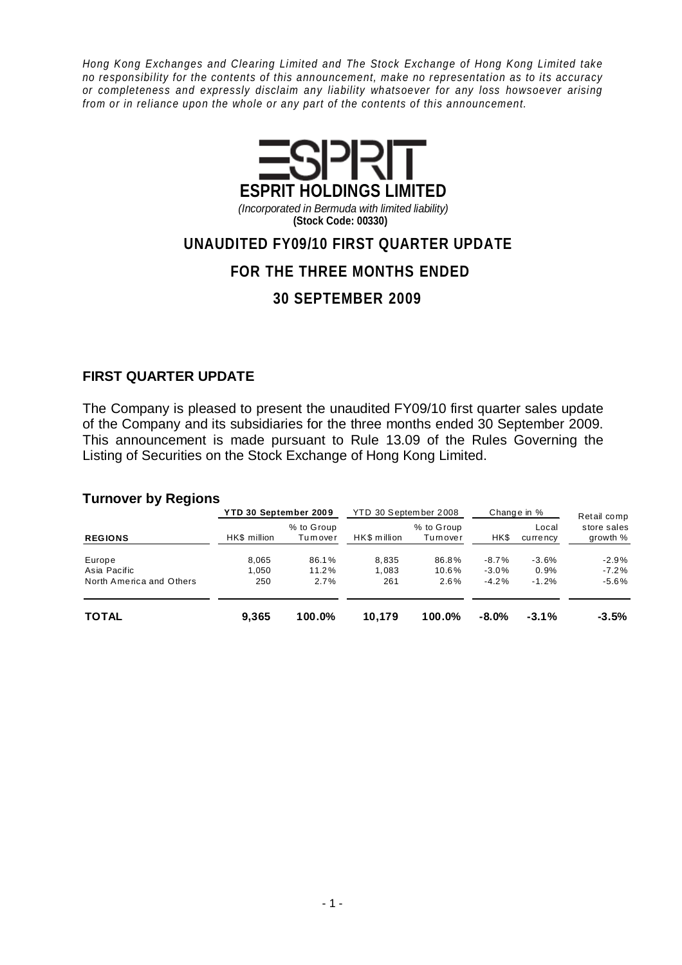Hong Kong Exchanges and Clearing Limited and The Stock Exchange of Hong Kong Limited take no responsibility for the contents of this announcement, make no representation as to its accuracy or completeness and expressly disclaim any liability whatsoever for any loss howsoever arising from or in reliance upon the whole or any part of the contents of this announcement.



(Incorporated in Bermuda with limited liability) **(Stock Code: 00330)**

## **UNAUDITED FY09/10 FIRST QUARTER UPDATE**

## **FOR THE THREE MONTHS ENDED**

## **30 SEPTEMBER 2009**

### **FIRST QUARTER UPDATE**

The Company is pleased to present the unaudited FY09/10 first quarter sales update of the Company and its subsidiaries for the three months ended 30 September 2009. This announcement is made pursuant to Rule 13.09 of the Rules Governing the Listing of Securities on the Stock Exchange of Hong Kong Limited.

#### **Turnover by Regions**

|                          | YTD 30 September 2009 |                       | YTD 30 September 2008 |                       |          | Change in %       | Retail comp<br>store sales<br>growth % |  |
|--------------------------|-----------------------|-----------------------|-----------------------|-----------------------|----------|-------------------|----------------------------------------|--|
| <b>REGIONS</b>           | HK\$ million          | % to Group<br>Tumover | HK\$ million          | % to Group<br>Tumover | HK\$     | Local<br>currency |                                        |  |
| Europe                   | 8.065                 | 86.1%                 | 8.835                 | 86.8%                 | $-8.7%$  | $-3.6%$           | $-2.9%$                                |  |
| Asia Pacific             | 1.050                 | 11.2%                 | 1.083                 | 10.6%                 | $-3.0\%$ | 0.9%              | $-7.2\%$                               |  |
| North America and Others | 250                   | 2.7%                  | 261                   | 2.6%                  | $-4.2%$  | $-1.2%$           | $-5.6%$                                |  |
| <b>TOTAL</b>             | 9,365                 | 100.0%                | 10.179                | 100.0%                | $-8.0\%$ | $-3.1%$           | $-3.5%$                                |  |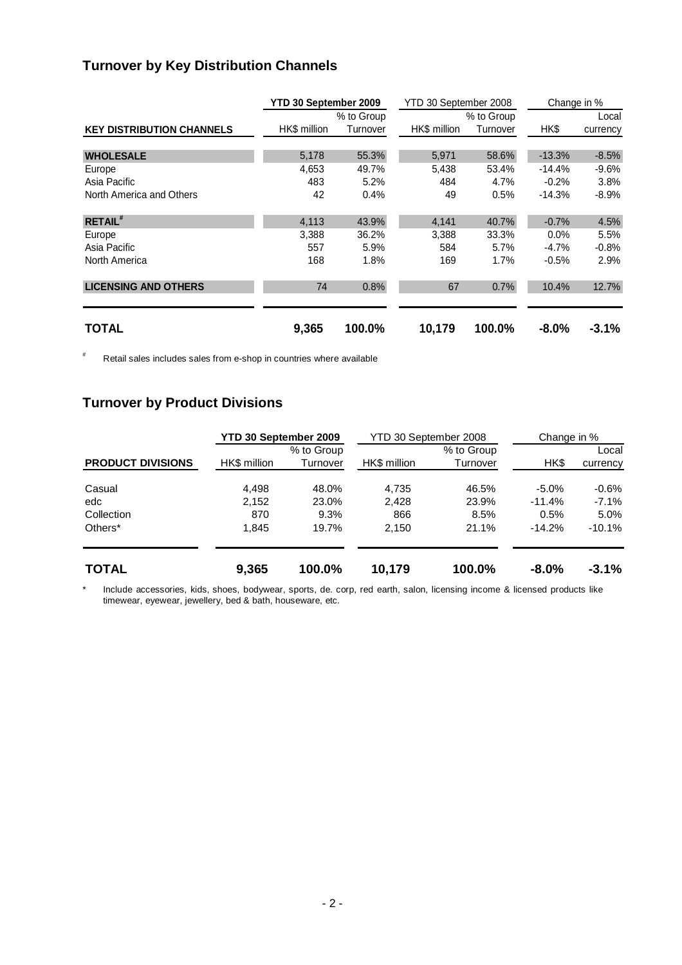# **Turnover by Key Distribution Channels**

|                                  | YTD 30 September 2009 |            | YTD 30 September 2008 |            | Change in % |          |  |
|----------------------------------|-----------------------|------------|-----------------------|------------|-------------|----------|--|
|                                  |                       | % to Group |                       | % to Group |             | Local    |  |
| <b>KEY DISTRIBUTION CHANNELS</b> | HK\$ million          | Turnover   | HK\$ million          | Turnover   | HK\$        | currency |  |
|                                  |                       |            |                       |            |             |          |  |
| <b>WHOLESALE</b>                 | 5,178                 | 55.3%      | 5,971                 | 58.6%      | $-13.3%$    | $-8.5%$  |  |
| Europe                           | 4,653                 | 49.7%      | 5,438                 | 53.4%      | $-14.4%$    | $-9.6%$  |  |
| Asia Pacific                     | 483                   | 5.2%       | 484                   | 4.7%       | $-0.2%$     | 3.8%     |  |
| North America and Others         | 42                    | 0.4%       | 49                    | 0.5%       | $-14.3%$    | $-8.9%$  |  |
|                                  |                       |            |                       |            |             |          |  |
| <b>RETAIL#</b>                   | 4,113                 | 43.9%      | 4,141                 | 40.7%      | $-0.7%$     | 4.5%     |  |
| Europe                           | 3,388                 | 36.2%      | 3,388                 | 33.3%      | $0.0\%$     | 5.5%     |  |
| Asia Pacific                     | 557                   | 5.9%       | 584                   | 5.7%       | $-4.7%$     | $-0.8%$  |  |
| North America                    | 168                   | 1.8%       | 169                   | 1.7%       | $-0.5%$     | 2.9%     |  |
|                                  |                       |            |                       |            |             |          |  |
| <b>LICENSING AND OTHERS</b>      | 74                    | 0.8%       | 67                    | 0.7%       | 10.4%       | 12.7%    |  |
|                                  |                       |            |                       |            |             |          |  |
| <b>TOTAL</b>                     | 9,365                 | 100.0%     | 10,179                | 100.0%     | $-8.0%$     | $-3.1%$  |  |

# Retail sales includes sales from e-shop in countries where available

# **Turnover by Product Divisions**

|                          | YTD 30 September 2009 |            | YTD 30 September 2008 |            | Change in % |          |  |  |
|--------------------------|-----------------------|------------|-----------------------|------------|-------------|----------|--|--|
|                          |                       | % to Group |                       | % to Group |             | Local    |  |  |
| <b>PRODUCT DIVISIONS</b> | HK\$ million          | Turnover   | HK\$ million          | Turnover   | HK\$        | currency |  |  |
| Casual                   | 4,498                 | 48.0%      | 4.735                 | 46.5%      | $-5.0\%$    | $-0.6%$  |  |  |
| edc                      | 2,152                 | 23.0%      | 2.428                 | 23.9%      | $-11.4%$    | $-7.1%$  |  |  |
| Collection               | 870                   | 9.3%       | 866                   | 8.5%       | 0.5%        | 5.0%     |  |  |
| Others <sup>*</sup>      | 1,845                 | 19.7%      | 2,150                 | 21.1%      | $-14.2%$    | $-10.1%$ |  |  |
| <b>TOTAL</b>             | 9,365                 | 100.0%     | 10,179                | 100.0%     | $-8.0%$     | $-3.1%$  |  |  |

\* Include accessories, kids, shoes, bodywear, sports, de. corp, red earth, salon, licensing income & licensed products like timewear, eyewear, jewellery, bed & bath, houseware, etc.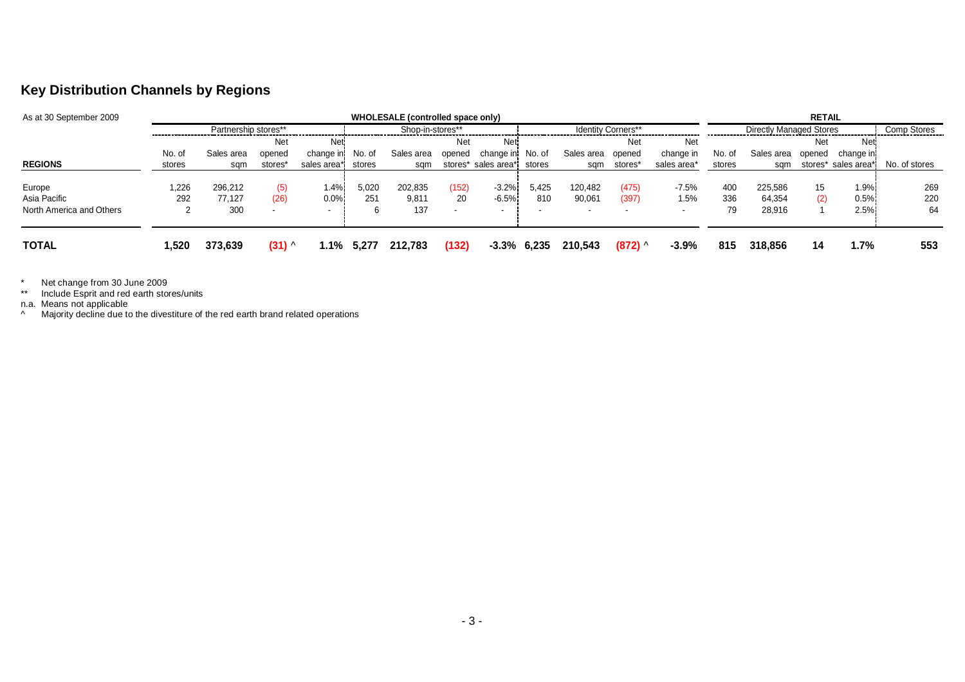## **Key Distribution Channels by Regions**

| As at 30 September 2009  |                      |                   |                 | WHOLESALE (controlled space only) |                  |                  |             |                            |                | <b>RETAIL</b>            |                                |                 |            |                   |            |                     |               |
|--------------------------|----------------------|-------------------|-----------------|-----------------------------------|------------------|------------------|-------------|----------------------------|----------------|--------------------------|--------------------------------|-----------------|------------|-------------------|------------|---------------------|---------------|
|                          | Partnership stores** |                   |                 |                                   | Shop-in-stores** |                  |             | <b>Identity Corners**</b>  |                |                          | <b>Directly Managed Stores</b> |                 |            | Comp Stores       |            |                     |               |
|                          |                      |                   | <b>Net</b>      | Neti                              |                  |                  | Net         | <b>Net</b>                 |                |                          | Net                            | Net             |            |                   | <b>Net</b> | <b>Net</b>          |               |
|                          | No. of               | Sales area        | opened          | change in No. of                  |                  | Sales area       | opened      | change in No. of           |                | Sales area opened        |                                | change in       | No. of     | Sales area        | opened     | change in           |               |
| <b>REGIONS</b>           | stores               | sqm               | stores*         | sales area*i                      | stores           | sam              |             | stores* sales area* stores |                | sqm                      | stores*                        | sales area*     | stores     | sam               |            | stores* sales area* | No. of stores |
| Europe<br>Asia Pacific   | 1,226<br>292         | 296.212<br>77.127 | (5)<br>(26)     | 1.4%<br>0.0%                      | 5,020<br>251     | 202,835<br>9,811 | (152)<br>20 | $-3.2%$<br>$-6.5%$         | 5,425<br>810   | 120,482<br>90,061        | (475)<br>(397)                 | $-7.5%$<br>1.5% | 400<br>336 | 225.586<br>64.354 | 15<br>(2)  | 1.9%<br>0.5%        | 269<br>220    |
| North America and Others |                      | 300               |                 | $\sim$                            |                  | 137              | . .         | . .                        |                | $\overline{\phantom{a}}$ |                                |                 | 79         | 28,916            |            | 2.5%                | 64            |
| <b>TOTAL</b>             | 520. ا               | 373,639           | $(31)$ $\wedge$ | 1.1%                              | 5,277            | 212.783          | (132)       |                            | $-3.3\%$ 6,235 | 210.543                  | $(872)$ ^                      | $-3.9%$         | 815        | 318,856           | 14         | 1.7%                | 553           |

\* Net change from 30 June 2009 \*\* Include Esprit and red earth stores/units n.a. Means not applicable ^ Majority decline due to the divestiture of the red earth brand related operations